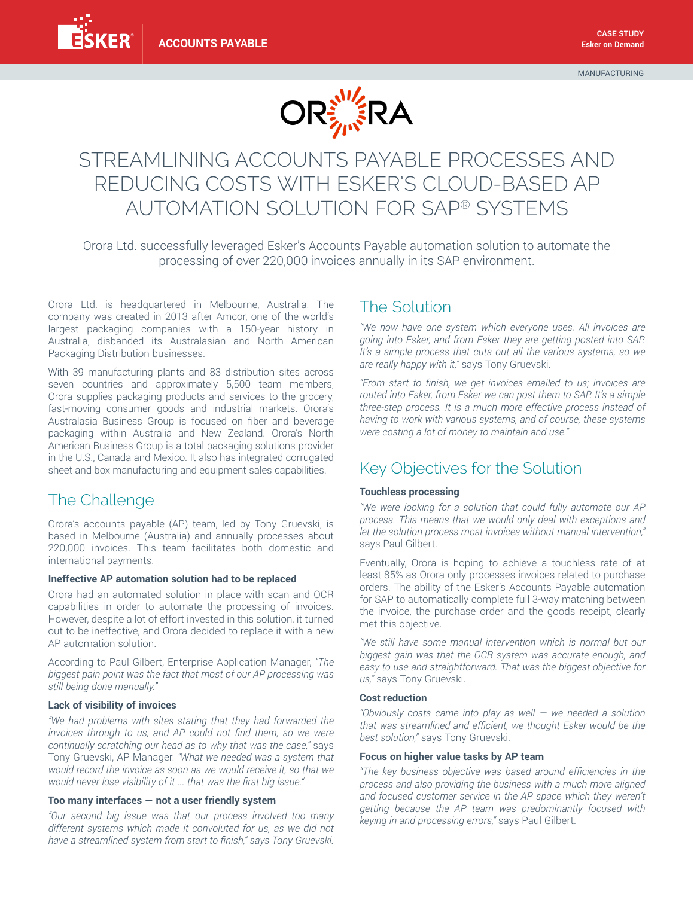

# STREAMLINING ACCOUNTS PAYABLE PROCESSES AND REDUCING COSTS WITH ESKER'S CLOUD-BASED AP AUTOMATION SOLUTION FOR SAP® SYSTEMS

Orora Ltd. successfully leveraged Esker's Accounts Payable automation solution to automate the processing of over 220,000 invoices annually in its SAP environment.

Orora Ltd. is headquartered in Melbourne, Australia. The company was created in 2013 after Amcor, one of the world's largest packaging companies with a 150-year history in Australia, disbanded its Australasian and North American Packaging Distribution businesses.

With 39 manufacturing plants and 83 distribution sites across seven countries and approximately 5,500 team members, Orora supplies packaging products and services to the grocery, fast-moving consumer goods and industrial markets. Orora's Australasia Business Group is focused on fiber and beverage packaging within Australia and New Zealand. Orora's North American Business Group is a total packaging solutions provider in the U.S., Canada and Mexico. It also has integrated corrugated sheet and box manufacturing and equipment sales capabilities.

### The Challenge

Orora's accounts payable (AP) team, led by Tony Gruevski, is based in Melbourne (Australia) and annually processes about 220,000 invoices. This team facilitates both domestic and international payments.

#### **Ineffective AP automation solution had to be replaced**

Orora had an automated solution in place with scan and OCR capabilities in order to automate the processing of invoices. However, despite a lot of effort invested in this solution, it turned out to be ineffective, and Orora decided to replace it with a new AP automation solution.

According to Paul Gilbert, Enterprise Application Manager, *"The biggest pain point was the fact that most of our AP processing was still being done manually."*

#### **Lack of visibility of invoices**

*"We had problems with sites stating that they had forwarded the invoices through to us, and AP could not find them, so we were continually scratching our head as to why that was the case,"* says Tony Gruevski, AP Manager. *"What we needed was a system that would record the invoice as soon as we would receive it, so that we would never lose visibility of it ... that was the first big issue."*

#### **Too many interfaces — not a user friendly system**

*"Our second big issue was that our process involved too many different systems which made it convoluted for us, as we did not have a streamlined system from start to finish," says Tony Gruevski.*

## The Solution

*"We now have one system which everyone uses. All invoices are going into Esker, and from Esker they are getting posted into SAP. It's a simple process that cuts out all the various systems, so we are really happy with it,"* says Tony Gruevski.

*"From start to finish, we get invoices emailed to us; invoices are routed into Esker, from Esker we can post them to SAP. It's a simple three-step process. It is a much more effective process instead of having to work with various systems, and of course, these systems were costing a lot of money to maintain and use."*

### Key Objectives for the Solution

#### **Touchless processing**

*"We were looking for a solution that could fully automate our AP process. This means that we would only deal with exceptions and let the solution process most invoices without manual intervention,"* says Paul Gilbert.

Eventually, Orora is hoping to achieve a touchless rate of at least 85% as Orora only processes invoices related to purchase orders. The ability of the Esker's Accounts Payable automation for SAP to automatically complete full 3-way matching between the invoice, the purchase order and the goods receipt, clearly met this objective.

*"We still have some manual intervention which is normal but our biggest gain was that the OCR system was accurate enough, and easy to use and straightforward. That was the biggest objective for us,"* says Tony Gruevski.

#### **Cost reduction**

*"Obviously costs came into play as well — we needed a solution that was streamlined and efficient, we thought Esker would be the best solution,"* says Tony Gruevski.

#### **Focus on higher value tasks by AP team**

*"The key business objective was based around efficiencies in the process and also providing the business with a much more aligned and focused customer service in the AP space which they weren't getting because the AP team was predominantly focused with keying in and processing errors,"* says Paul Gilbert.